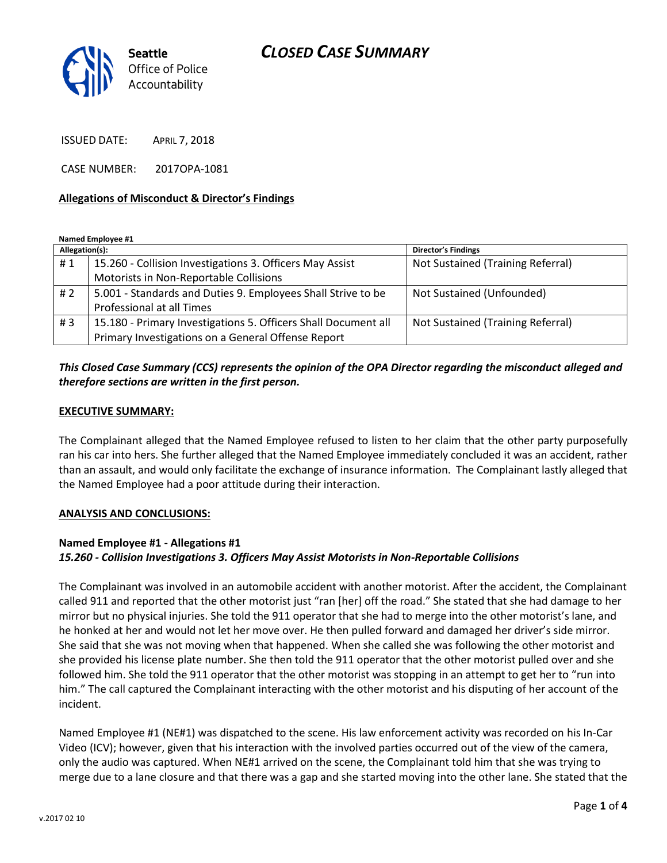

ISSUED DATE: APRIL 7, 2018

CASE NUMBER: 2017OPA-1081

# **Allegations of Misconduct & Director's Findings**

**Named Employee #1**

| Allegation(s): |                                                                | <b>Director's Findings</b>        |
|----------------|----------------------------------------------------------------|-----------------------------------|
| #1             | 15.260 - Collision Investigations 3. Officers May Assist       | Not Sustained (Training Referral) |
|                | Motorists in Non-Reportable Collisions                         |                                   |
| #2             | 5.001 - Standards and Duties 9. Employees Shall Strive to be   | Not Sustained (Unfounded)         |
|                | Professional at all Times                                      |                                   |
| #3             | 15.180 - Primary Investigations 5. Officers Shall Document all | Not Sustained (Training Referral) |
|                | Primary Investigations on a General Offense Report             |                                   |

# *This Closed Case Summary (CCS) represents the opinion of the OPA Director regarding the misconduct alleged and therefore sections are written in the first person.*

# **EXECUTIVE SUMMARY:**

The Complainant alleged that the Named Employee refused to listen to her claim that the other party purposefully ran his car into hers. She further alleged that the Named Employee immediately concluded it was an accident, rather than an assault, and would only facilitate the exchange of insurance information. The Complainant lastly alleged that the Named Employee had a poor attitude during their interaction.

### **ANALYSIS AND CONCLUSIONS:**

# **Named Employee #1 - Allegations #1** *15.260 - Collision Investigations 3. Officers May Assist Motorists in Non-Reportable Collisions*

The Complainant was involved in an automobile accident with another motorist. After the accident, the Complainant called 911 and reported that the other motorist just "ran [her] off the road." She stated that she had damage to her mirror but no physical injuries. She told the 911 operator that she had to merge into the other motorist's lane, and he honked at her and would not let her move over. He then pulled forward and damaged her driver's side mirror. She said that she was not moving when that happened. When she called she was following the other motorist and she provided his license plate number. She then told the 911 operator that the other motorist pulled over and she followed him. She told the 911 operator that the other motorist was stopping in an attempt to get her to "run into him." The call captured the Complainant interacting with the other motorist and his disputing of her account of the incident.

Named Employee #1 (NE#1) was dispatched to the scene. His law enforcement activity was recorded on his In-Car Video (ICV); however, given that his interaction with the involved parties occurred out of the view of the camera, only the audio was captured. When NE#1 arrived on the scene, the Complainant told him that she was trying to merge due to a lane closure and that there was a gap and she started moving into the other lane. She stated that the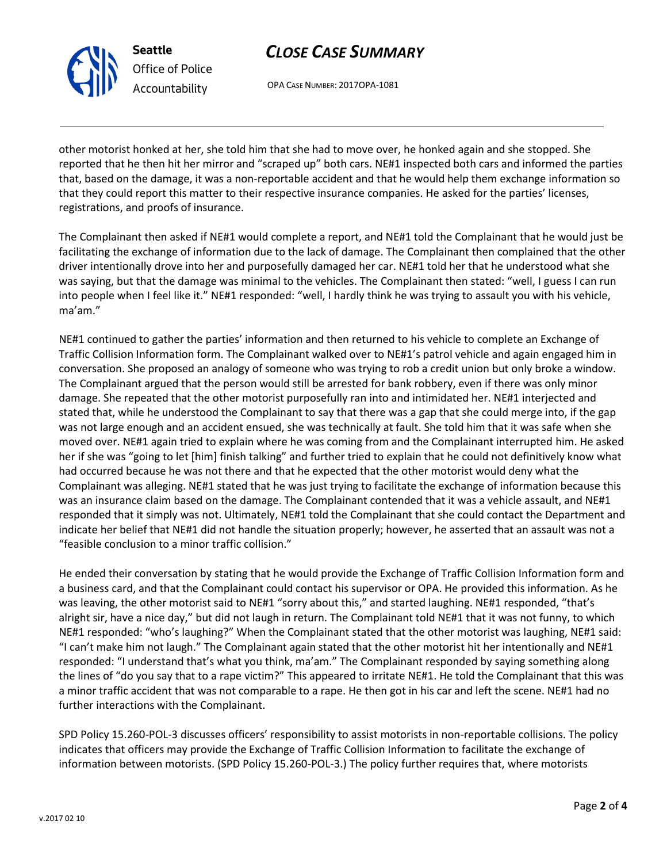v.2017 02 10

# further interactions with the Complainant.

SPD Policy 15.260-POL-3 discusses officers' responsibility to assist motorists in non-reportable collisions. The policy indicates that officers may provide the Exchange of Traffic Collision Information to facilitate the exchange of information between motorists. (SPD Policy 15.260-POL-3.) The policy further requires that, where motorists

He ended their conversation by stating that he would provide the Exchange of Traffic Collision Information form and a business card, and that the Complainant could contact his supervisor or OPA. He provided this information. As he was leaving, the other motorist said to NE#1 "sorry about this," and started laughing. NE#1 responded, "that's alright sir, have a nice day," but did not laugh in return. The Complainant told NE#1 that it was not funny, to which NE#1 responded: "who's laughing?" When the Complainant stated that the other motorist was laughing, NE#1 said: "I can't make him not laugh." The Complainant again stated that the other motorist hit her intentionally and NE#1 responded: "I understand that's what you think, ma'am." The Complainant responded by saying something along the lines of "do you say that to a rape victim?" This appeared to irritate NE#1. He told the Complainant that this was a minor traffic accident that was not comparable to a rape. He then got in his car and left the scene. NE#1 had no

indicate her belief that NE#1 did not handle the situation properly; however, he asserted that an assault was not a "feasible conclusion to a minor traffic collision."

The Complainant then asked if NE#1 would complete a report, and NE#1 told the Complainant that he would just be facilitating the exchange of information due to the lack of damage. The Complainant then complained that the other driver intentionally drove into her and purposefully damaged her car. NE#1 told her that he understood what she was saying, but that the damage was minimal to the vehicles. The Complainant then stated: "well, I guess I can run into people when I feel like it." NE#1 responded: "well, I hardly think he was trying to assault you with his vehicle, ma'am." NE#1 continued to gather the parties' information and then returned to his vehicle to complete an Exchange of

Traffic Collision Information form. The Complainant walked over to NE#1's patrol vehicle and again engaged him in conversation. She proposed an analogy of someone who was trying to rob a credit union but only broke a window. The Complainant argued that the person would still be arrested for bank robbery, even if there was only minor damage. She repeated that the other motorist purposefully ran into and intimidated her. NE#1 interjected and stated that, while he understood the Complainant to say that there was a gap that she could merge into, if the gap was not large enough and an accident ensued, she was technically at fault. She told him that it was safe when she moved over. NE#1 again tried to explain where he was coming from and the Complainant interrupted him. He asked her if she was "going to let [him] finish talking" and further tried to explain that he could not definitively know what

had occurred because he was not there and that he expected that the other motorist would deny what the

Complainant was alleging. NE#1 stated that he was just trying to facilitate the exchange of information because this was an insurance claim based on the damage. The Complainant contended that it was a vehicle assault, and NE#1 responded that it simply was not. Ultimately, NE#1 told the Complainant that she could contact the Department and

reported that he then hit her mirror and "scraped up" both cars. NE#1 inspected both cars and informed the parties that, based on the damage, it was a non-reportable accident and that he would help them exchange information so that they could report this matter to their respective insurance companies. He asked for the parties' licenses, registrations, and proofs of insurance.

other motorist honked at her, she told him that she had to move over, he honked again and she stopped. She

OPA CASE NUMBER: 2017OPA-1081

# *CLOSE CASE SUMMARY*

**Seattle**

*Office of Police Accountability*

Page **2** of **4**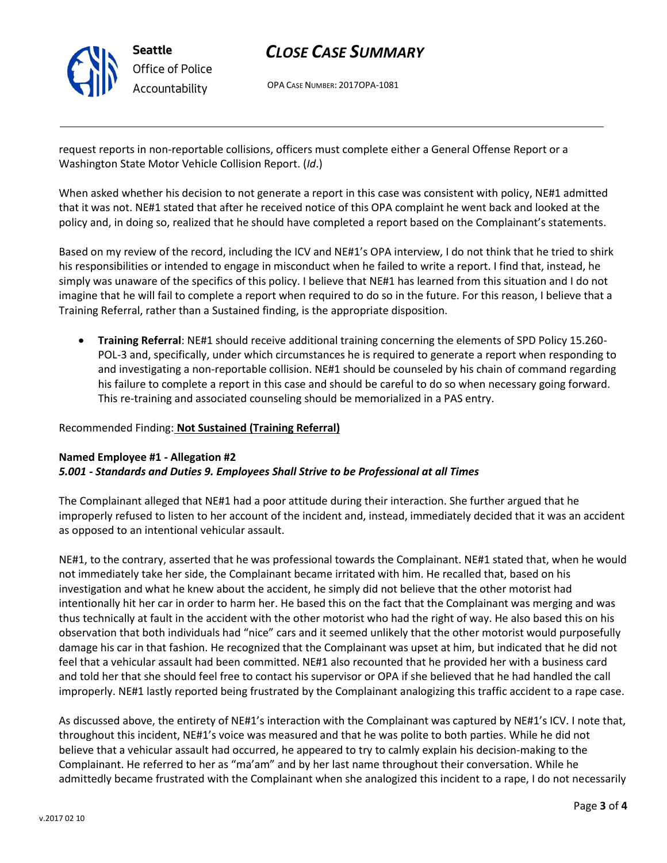

# *CLOSE CASE SUMMARY*

OPA CASE NUMBER: 2017OPA-1081

request reports in non-reportable collisions, officers must complete either a General Offense Report or a Washington State Motor Vehicle Collision Report. (*Id*.)

When asked whether his decision to not generate a report in this case was consistent with policy, NE#1 admitted that it was not. NE#1 stated that after he received notice of this OPA complaint he went back and looked at the policy and, in doing so, realized that he should have completed a report based on the Complainant's statements.

Based on my review of the record, including the ICV and NE#1's OPA interview, I do not think that he tried to shirk his responsibilities or intended to engage in misconduct when he failed to write a report. I find that, instead, he simply was unaware of the specifics of this policy. I believe that NE#1 has learned from this situation and I do not imagine that he will fail to complete a report when required to do so in the future. For this reason, I believe that a Training Referral, rather than a Sustained finding, is the appropriate disposition.

• **Training Referral**: NE#1 should receive additional training concerning the elements of SPD Policy 15.260- POL-3 and, specifically, under which circumstances he is required to generate a report when responding to and investigating a non-reportable collision. NE#1 should be counseled by his chain of command regarding his failure to complete a report in this case and should be careful to do so when necessary going forward. This re-training and associated counseling should be memorialized in a PAS entry.

# Recommended Finding: **Not Sustained (Training Referral)**

# **Named Employee #1 - Allegation #2** *5.001 - Standards and Duties 9. Employees Shall Strive to be Professional at all Times*

The Complainant alleged that NE#1 had a poor attitude during their interaction. She further argued that he improperly refused to listen to her account of the incident and, instead, immediately decided that it was an accident as opposed to an intentional vehicular assault.

NE#1, to the contrary, asserted that he was professional towards the Complainant. NE#1 stated that, when he would not immediately take her side, the Complainant became irritated with him. He recalled that, based on his investigation and what he knew about the accident, he simply did not believe that the other motorist had intentionally hit her car in order to harm her. He based this on the fact that the Complainant was merging and was thus technically at fault in the accident with the other motorist who had the right of way. He also based this on his observation that both individuals had "nice" cars and it seemed unlikely that the other motorist would purposefully damage his car in that fashion. He recognized that the Complainant was upset at him, but indicated that he did not feel that a vehicular assault had been committed. NE#1 also recounted that he provided her with a business card and told her that she should feel free to contact his supervisor or OPA if she believed that he had handled the call improperly. NE#1 lastly reported being frustrated by the Complainant analogizing this traffic accident to a rape case.

As discussed above, the entirety of NE#1's interaction with the Complainant was captured by NE#1's ICV. I note that, throughout this incident, NE#1's voice was measured and that he was polite to both parties. While he did not believe that a vehicular assault had occurred, he appeared to try to calmly explain his decision-making to the Complainant. He referred to her as "ma'am" and by her last name throughout their conversation. While he admittedly became frustrated with the Complainant when she analogized this incident to a rape, I do not necessarily